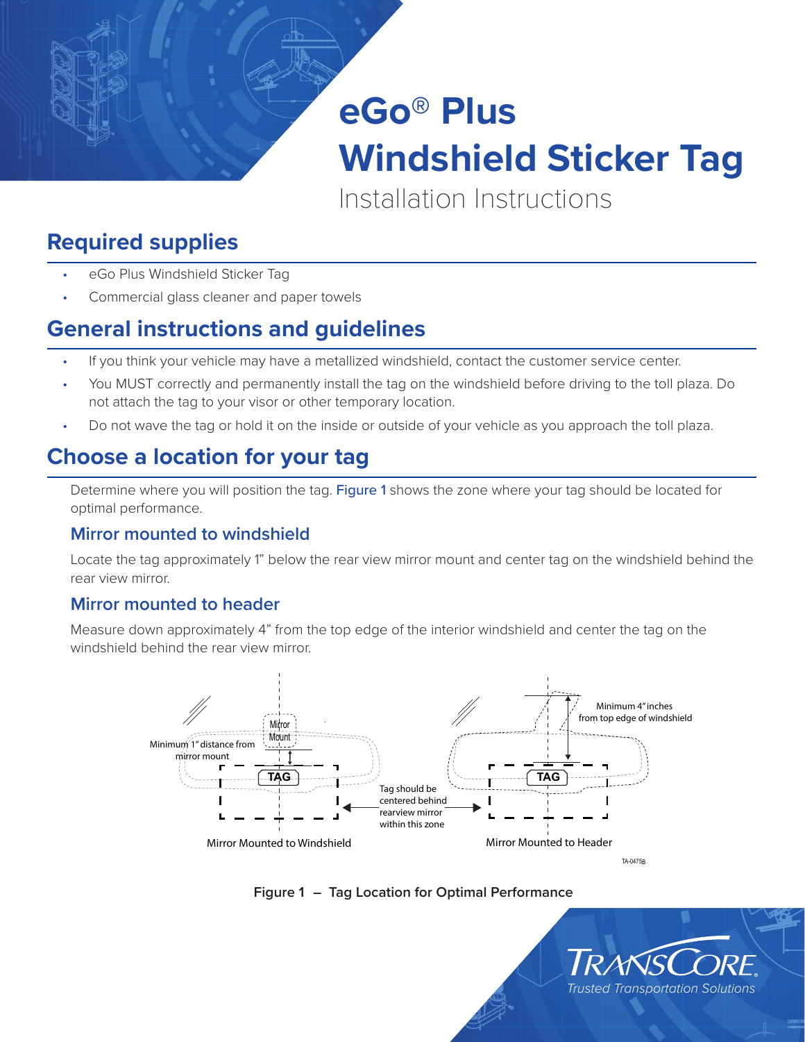

Installation Instructions

# **Required supplies**

- eGo Plus Windshield Sticker Tag
- Commercial glass cleaner and paper towels

### **General instructions and guidelines**

- If you think your vehicle may have a metallized windshield, contact the customer service center.
- You MUST correctly and permanently install the tag on the windshield before driving to the toll plaza. Do not attach the tag to your visor or other temporary location.
- Do not wave the tag or hold it on the inside or outside of your vehicle as you approach the toll plaza.

# **Choose a location for your tag**

Determine where you will position the tag. [Figure 1](#page-0-0) shows the zone where your tag should be located for optimal performance.

#### **Mirror mounted to windshield**

Locate the tag approximately 1" below the rear view mirror mount and center tag on the windshield behind the rear view mirror.

#### **Mirror mounted to header**

Measure down approximately 4" from the top edge of the interior windshield and center the tag on the windshield behind the rear view mirror.





<span id="page-0-0"></span>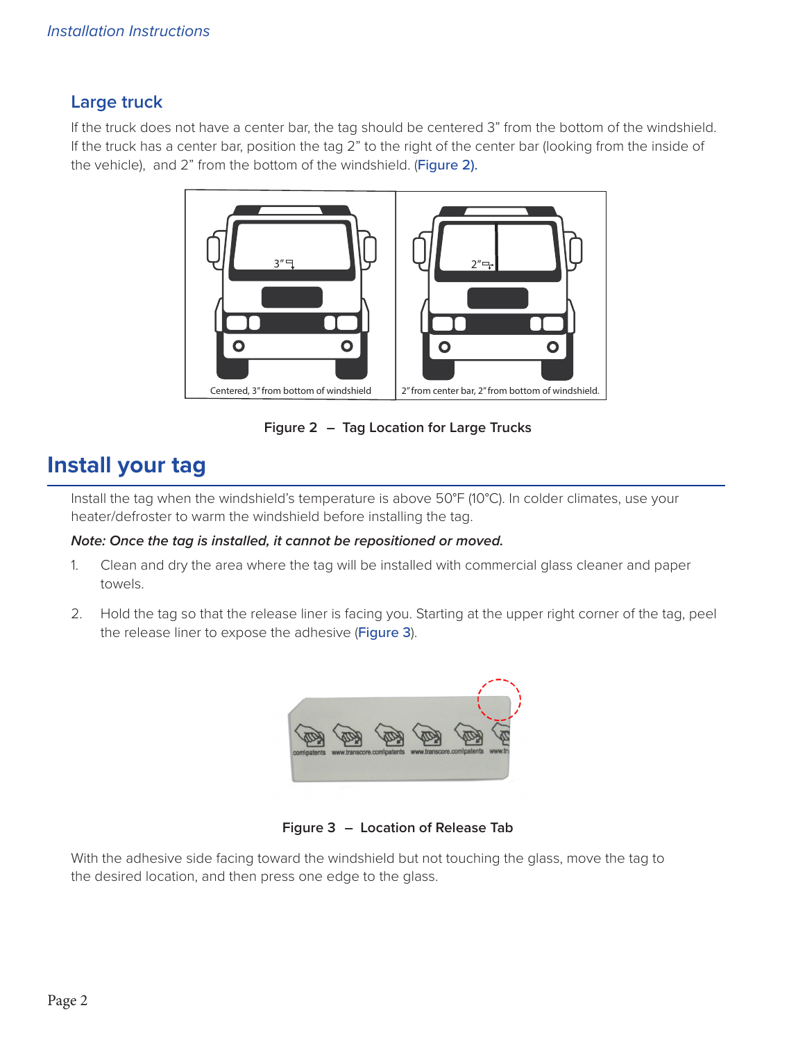### **Large truck**

If the truck does not have a center bar, the tag should be centered 3" from the bottom of the windshield. If the truck has a center bar, position the tag 2" to the right of the center bar (looking from the inside of the vehicle), and 2" from the bottom of the windshield. ([Figure 2](#page-1-0)).



<span id="page-1-0"></span>**Figure 2 – Tag Location for Large Trucks**

### **Install your tag**

Install the tag when the windshield's temperature is above 50°F (10°C). In colder climates, use your heater/defroster to warm the windshield before installing the tag.

#### *Note: Once the tag is installed, it cannot be repositioned or moved.*

- 1. Clean and dry the area where the tag will be installed with commercial glass cleaner and paper towels.
- 2. Hold the tag so that the release liner is facing you. Starting at the upper right corner of the tag, peel the release liner to expose the adhesive ([Figure 3](#page-1-1)).

<span id="page-1-1"></span>

**Figure 3 – Location of Release Tab**

With the adhesive side facing toward the windshield but not touching the glass, move the tag to the desired location, and then press one edge to the glass.